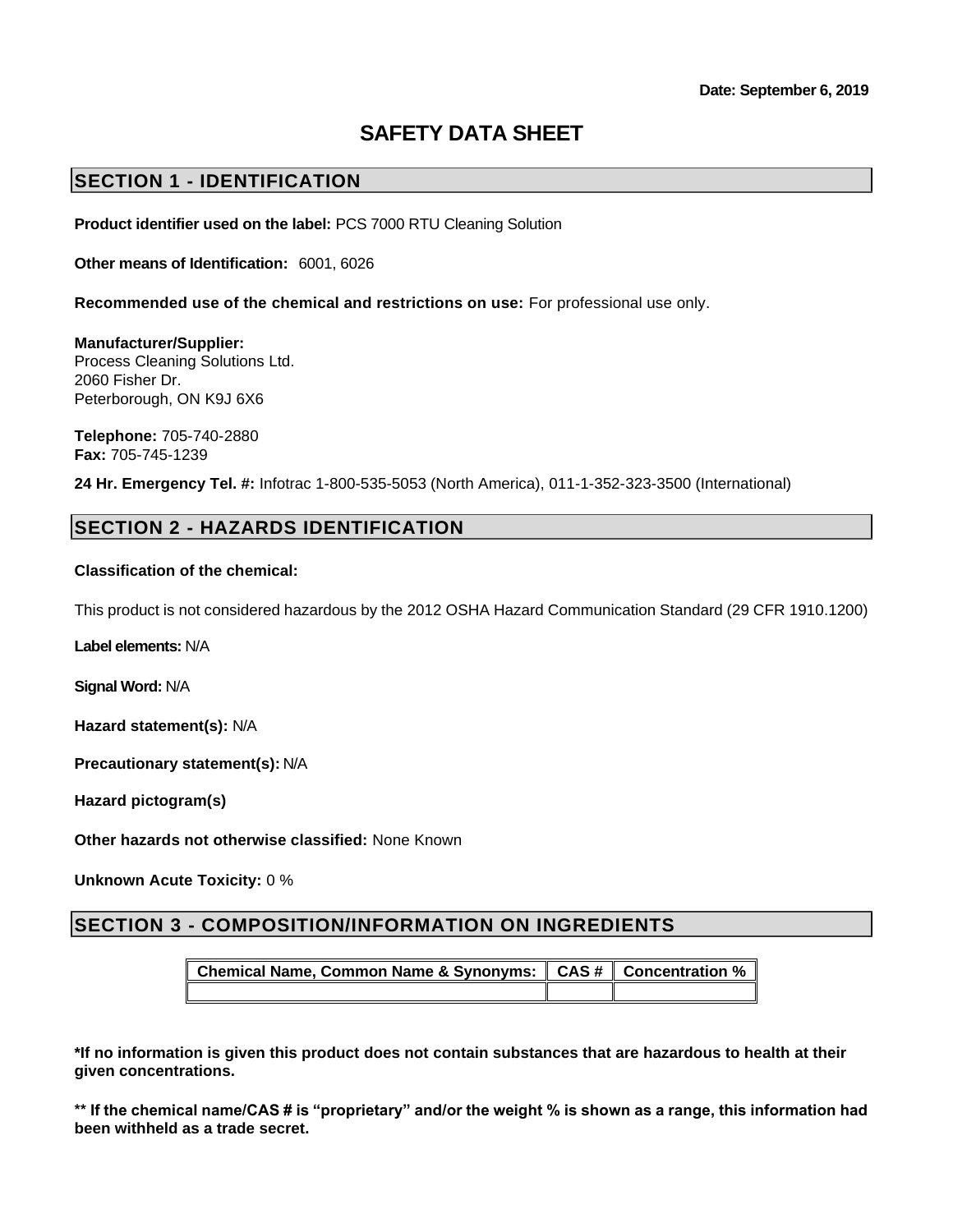# **SAFETY DATA SHEET**

# **SECTION 1 - IDENTIFICATION**

**Product identifier used on the label:** PCS 7000 RTU Cleaning Solution

**Other means of Identification:** 6001, 6026

**Recommended use of the chemical and restrictions on use:** For professional use only.

**Manufacturer/Supplier:** Process Cleaning Solutions Ltd. 2060 Fisher Dr. Peterborough, ON K9J 6X6

**Telephone:** 705-740-2880 **Fax:** 705-745-1239

**24 Hr. Emergency Tel. #:** Infotrac 1-800-535-5053 (North America), 011-1-352-323-3500 (International)

## **SECTION 2 - HAZARDS IDENTIFICATION**

#### **Classification of the chemical:**

This product is not considered hazardous by the 2012 OSHA Hazard Communication Standard (29 CFR 1910.1200)

**Label elements:** N/A

**Signal Word:** N/A

**Hazard statement(s):** N/A

**Precautionary statement(s):** N/A

**Hazard pictogram(s)**

**Other hazards not otherwise classified:** None Known

**Unknown Acute Toxicity:** 0 %

# **SECTION 3 - COMPOSITION/INFORMATION ON INGREDIENTS**

**Chemical Name, Common Name & Synonyms: CAS # Concentration %**

**\*If no information is given this product does not contain substances that are hazardous to health at their given concentrations.**

**\*\* If the chemical name/CAS # is "proprietary" and/or the weight % is shown as a range, this information had been withheld as a trade secret.**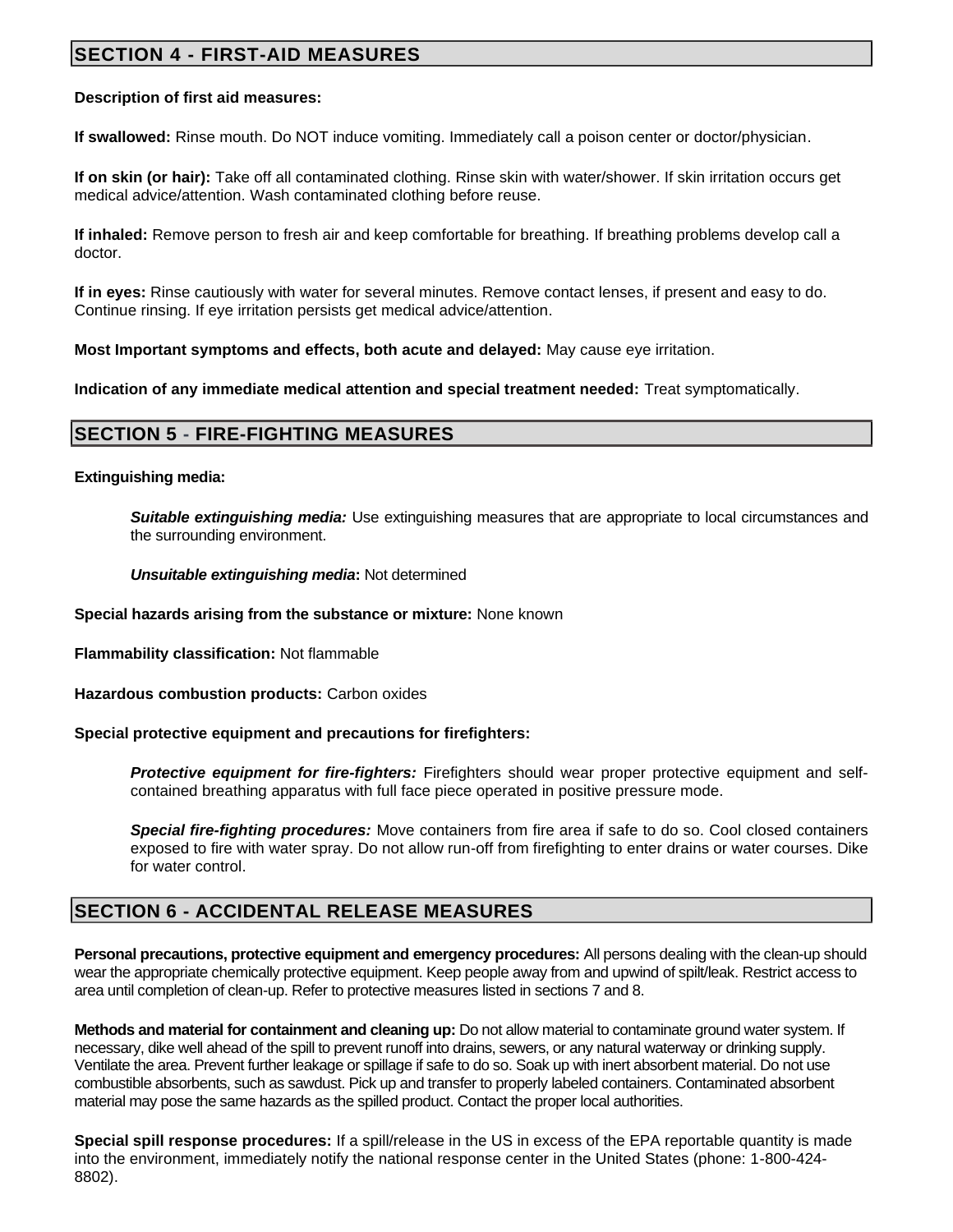# **SECTION 4 - FIRST-AID MEASURES**

#### **Description of first aid measures:**

**If swallowed:** Rinse mouth. Do NOT induce vomiting. Immediately call a poison center or doctor/physician.

**If on skin (or hair):** Take off all contaminated clothing. Rinse skin with water/shower. If skin irritation occurs get medical advice/attention. Wash contaminated clothing before reuse.

**If inhaled:** Remove person to fresh air and keep comfortable for breathing. If breathing problems develop call a doctor.

**If in eyes:** Rinse cautiously with water for several minutes. Remove contact lenses, if present and easy to do. Continue rinsing. If eye irritation persists get medical advice/attention.

**Most Important symptoms and effects, both acute and delayed:** May cause eye irritation.

**Indication of any immediate medical attention and special treatment needed:** Treat symptomatically.

## **SECTION 5 - FIRE-FIGHTING MEASURES**

**Extinguishing media:**

**Suitable extinguishing media:** Use extinguishing measures that are appropriate to local circumstances and the surrounding environment.

*Unsuitable extinguishing media***:** Not determined

**Special hazards arising from the substance or mixture:** None known

**Flammability classification:** Not flammable

**Hazardous combustion products:** Carbon oxides

**Special protective equipment and precautions for firefighters:**

*Protective equipment for fire-fighters:* Firefighters should wear proper protective equipment and selfcontained breathing apparatus with full face piece operated in positive pressure mode.

*Special fire-fighting procedures:* Move containers from fire area if safe to do so. Cool closed containers exposed to fire with water spray. Do not allow run-off from firefighting to enter drains or water courses. Dike for water control.

## **SECTION 6 - ACCIDENTAL RELEASE MEASURES**

**Personal precautions, protective equipment and emergency procedures:** All persons dealing with the clean-up should wear the appropriate chemically protective equipment. Keep people away from and upwind of spilt/leak. Restrict access to area until completion of clean-up. Refer to protective measures listed in sections 7 and 8.

**Methods and material for containment and cleaning up:** Do not allow material to contaminate ground water system. If necessary, dike well ahead of the spill to prevent runoff into drains, sewers, or any natural waterway or drinking supply. Ventilate the area. Prevent further leakage or spillage if safe to do so. Soak up with inert absorbent material. Do not use combustible absorbents, such as sawdust. Pick up and transfer to properly labeled containers. Contaminated absorbent material may pose the same hazards as the spilled product. Contact the proper local authorities.

**Special spill response procedures:** If a spill/release in the US in excess of the EPA reportable quantity is made into the environment, immediately notify the national response center in the United States (phone: 1-800-424- 8802).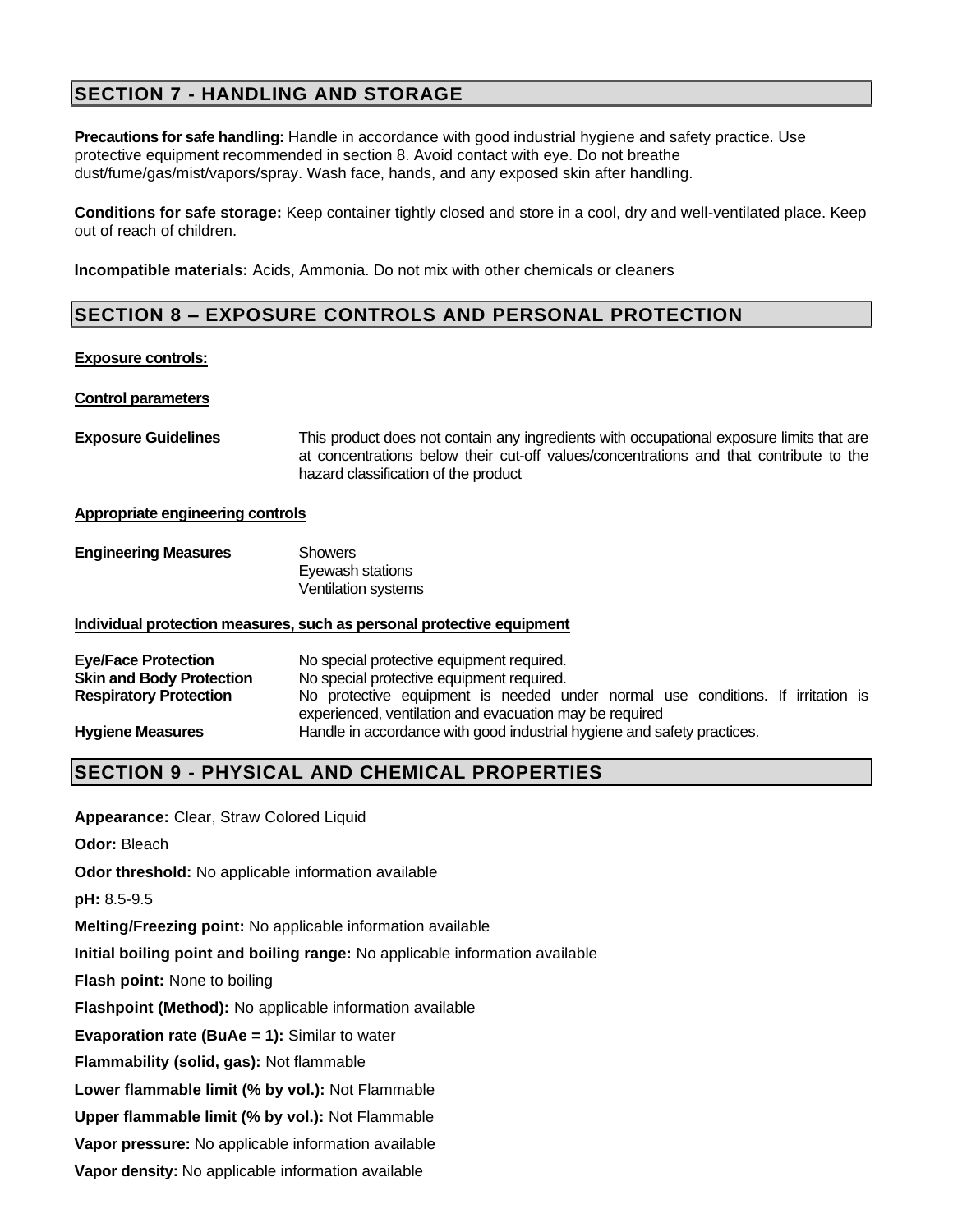# **SECTION 7 - HANDLING AND STORAGE**

**Precautions for safe handling:** Handle in accordance with good industrial hygiene and safety practice. Use protective equipment recommended in section 8. Avoid contact with eye. Do not breathe dust/fume/gas/mist/vapors/spray. Wash face, hands, and any exposed skin after handling.

**Conditions for safe storage:** Keep container tightly closed and store in a cool, dry and well-ventilated place. Keep out of reach of children.

**Incompatible materials:** Acids, Ammonia. Do not mix with other chemicals or cleaners

# **SECTION 8 – EXPOSURE CONTROLS AND PERSONAL PROTECTION**

#### **Exposure controls:**

#### **Control parameters**

**Exposure Guidelines** This product does not contain any ingredients with occupational exposure limits that are at concentrations below their cut-off values/concentrations and that contribute to the hazard classification of the product

#### **Appropriate engineering controls**

| <b>Engineering Measures</b> | Showers                    |
|-----------------------------|----------------------------|
|                             | Eyewash stations           |
|                             | <b>Ventilation systems</b> |

#### **Individual protection measures, such as personal protective equipment**

| <b>Eye/Face Protection</b>      | No special protective equipment required.                                                                                                  |  |  |  |  |
|---------------------------------|--------------------------------------------------------------------------------------------------------------------------------------------|--|--|--|--|
| <b>Skin and Body Protection</b> | No special protective equipment required.                                                                                                  |  |  |  |  |
| <b>Respiratory Protection</b>   | No protective equipment is needed under normal use conditions. If irritation is<br>experienced, ventilation and evacuation may be required |  |  |  |  |
| <b>Hygiene Measures</b>         | Handle in accordance with good industrial hygiene and safety practices.                                                                    |  |  |  |  |

## **SECTION 9 - PHYSICAL AND CHEMICAL PROPERTIES**

**Appearance:** Clear, Straw Colored Liquid

**Odor:** Bleach

**Odor threshold:** No applicable information available

**pH:** 8.5-9.5

**Melting/Freezing point:** No applicable information available

**Initial boiling point and boiling range:** No applicable information available

**Flash point:** None to boiling

**Flashpoint (Method):** No applicable information available

**Evaporation rate (BuAe = 1):** Similar to water

**Flammability (solid, gas):** Not flammable

**Lower flammable limit (% by vol.):** Not Flammable

**Upper flammable limit (% by vol.):** Not Flammable

**Vapor pressure:** No applicable information available

**Vapor density:** No applicable information available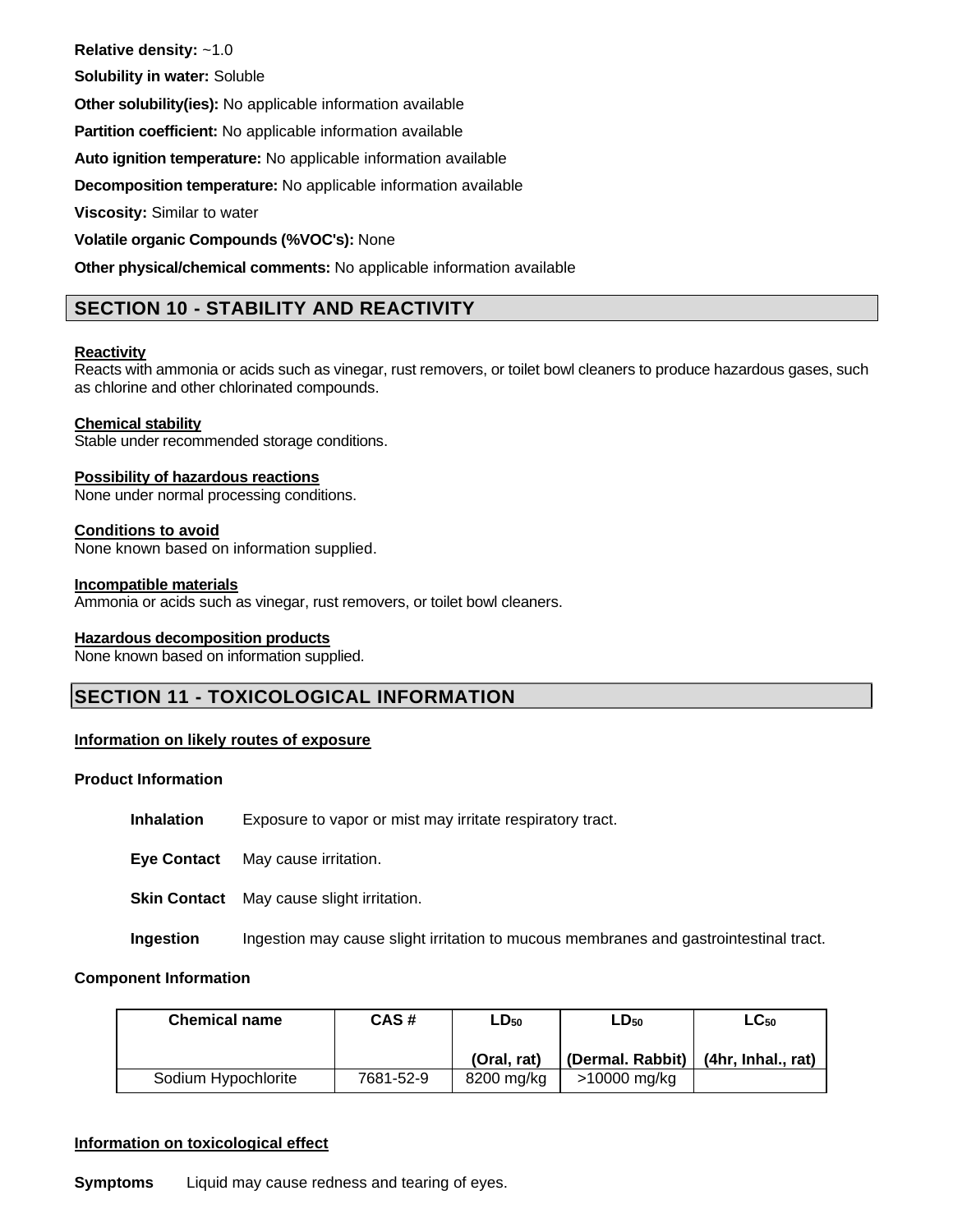**Relative density:** ~1.0

**Solubility in water:** Soluble

**Other solubility(ies):** No applicable information available

**Partition coefficient:** No applicable information available

**Auto ignition temperature:** No applicable information available

**Decomposition temperature:** No applicable information available

**Viscosity:** Similar to water

**Volatile organic Compounds (%VOC's):** None

**Other physical/chemical comments:** No applicable information available

# **SECTION 10 - STABILITY AND REACTIVITY**

#### **Reactivity**

Reacts with ammonia or acids such as vinegar, rust removers, or toilet bowl cleaners to produce hazardous gases, such as chlorine and other chlorinated compounds.

#### **Chemical stability**

Stable under recommended storage conditions.

#### **Possibility of hazardous reactions**

None under normal processing conditions.

#### **Conditions to avoid**

None known based on information supplied.

#### **Incompatible materials**

Ammonia or acids such as vinegar, rust removers, or toilet bowl cleaners.

#### **Hazardous decomposition products**

None known based on information supplied.

# **SECTION 11 - TOXICOLOGICAL INFORMATION**

## **Information on likely routes of exposure**

#### **Product Information**

**Inhalation** Exposure to vapor or mist may irritate respiratory tract.

**Eye Contact** May cause irritation.

**Skin Contact** May cause slight irritation.

**Ingestion** Ingestion may cause slight irritation to mucous membranes and gastrointestinal tract.

#### **Component Information**

| <b>Chemical name</b> | CAS#      | $LD_{50}$   | $LD_{50}$        | $\mathsf{LC}_{50}$ |
|----------------------|-----------|-------------|------------------|--------------------|
|                      |           | (Oral. rat) | (Dermal. Rabbit) | (4hr, Inhal., rat) |
| Sodium Hypochlorite  | 7681-52-9 | 8200 mg/kg  | >10000 mg/kg     |                    |

#### **Information on toxicological effect**

**Symptoms** Liquid may cause redness and tearing of eyes.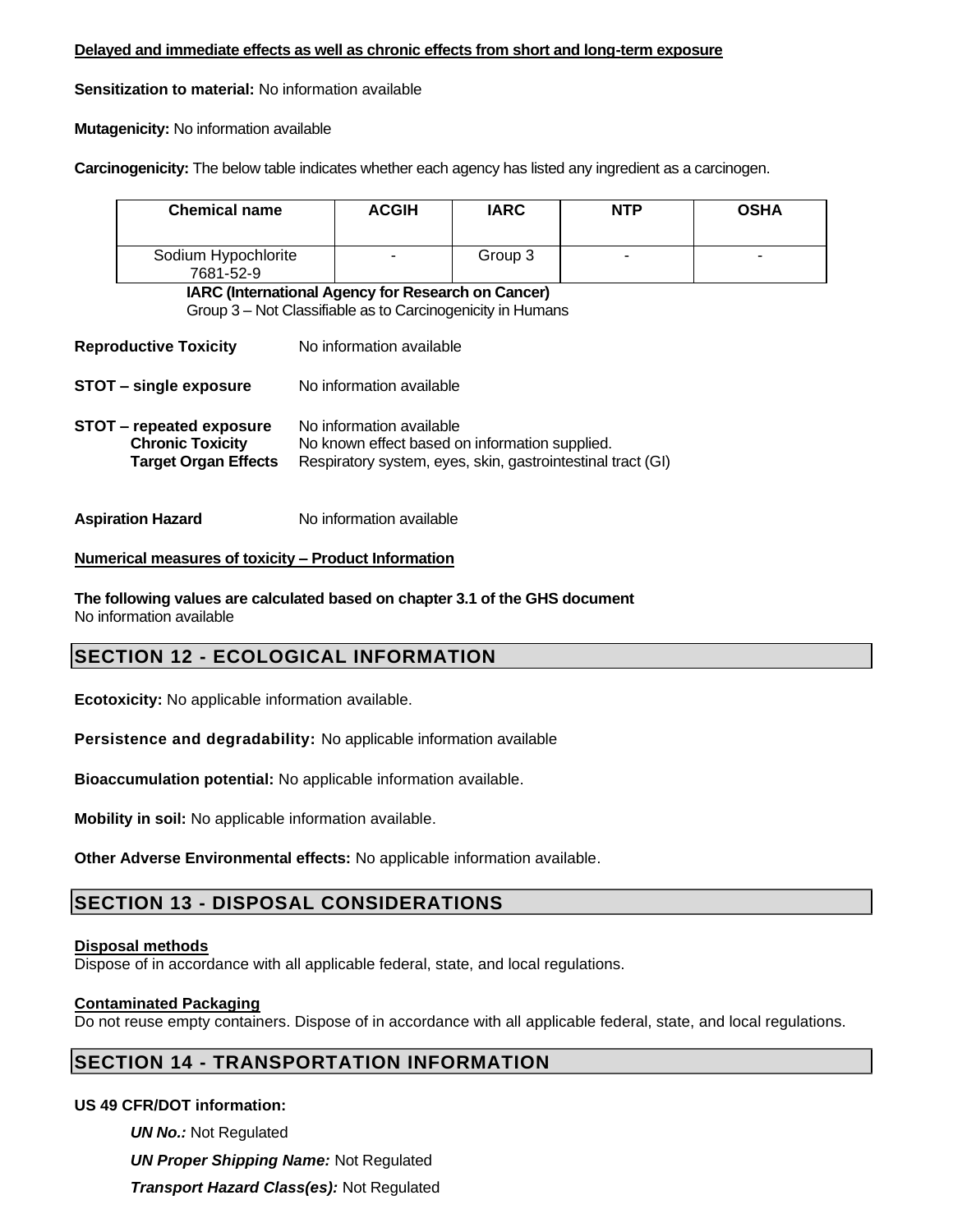#### **Delayed and immediate effects as well as chronic effects from short and long-term exposure**

**Sensitization to material:** No information available

**Mutagenicity:** No information available

**Carcinogenicity:** The below table indicates whether each agency has listed any ingredient as a carcinogen.

| <b>Chemical name</b>                                                                                                                                                                                                                   |  | <b>ACGIH</b>                                                                                                     | <b>IARC</b> | <b>NTP</b> | <b>OSHA</b> |
|----------------------------------------------------------------------------------------------------------------------------------------------------------------------------------------------------------------------------------------|--|------------------------------------------------------------------------------------------------------------------|-------------|------------|-------------|
| Sodium Hypochlorite<br>7681-52-9                                                                                                                                                                                                       |  |                                                                                                                  | Group 3     |            |             |
|                                                                                                                                                                                                                                        |  | IARC (International Agency for Research on Cancer)<br>Group 3 – Not Classifiable as to Carcinogenicity in Humans |             |            |             |
| <b>Reproductive Toxicity</b>                                                                                                                                                                                                           |  | No information available                                                                                         |             |            |             |
| <b>STOT - single exposure</b>                                                                                                                                                                                                          |  | No information available                                                                                         |             |            |             |
| No information available<br><b>STOT – repeated exposure</b><br><b>Chronic Toxicity</b><br>No known effect based on information supplied.<br><b>Target Organ Effects</b><br>Respiratory system, eyes, skin, gastrointestinal tract (GI) |  |                                                                                                                  |             |            |             |
| <b>Aspiration Hazard</b>                                                                                                                                                                                                               |  | No information available                                                                                         |             |            |             |

#### **Numerical measures of toxicity – Product Information**

**The following values are calculated based on chapter 3.1 of the GHS document** No information available

# **SECTION 12 - ECOLOGICAL INFORMATION**

**Ecotoxicity:** No applicable information available.

**Persistence and degradability:** No applicable information available

**Bioaccumulation potential:** No applicable information available.

**Mobility in soil:** No applicable information available.

**Other Adverse Environmental effects:** No applicable information available.

# **SECTION 13 - DISPOSAL CONSIDERATIONS**

#### **Disposal methods**

Dispose of in accordance with all applicable federal, state, and local regulations.

## **Contaminated Packaging**

Do not reuse empty containers. Dispose of in accordance with all applicable federal, state, and local regulations.

# **SECTION 14 - TRANSPORTATION INFORMATION**

## **US 49 CFR/DOT information:**

*UN No.:* Not Regulated *UN Proper Shipping Name:* Not Regulated *Transport Hazard Class(es):* Not Regulated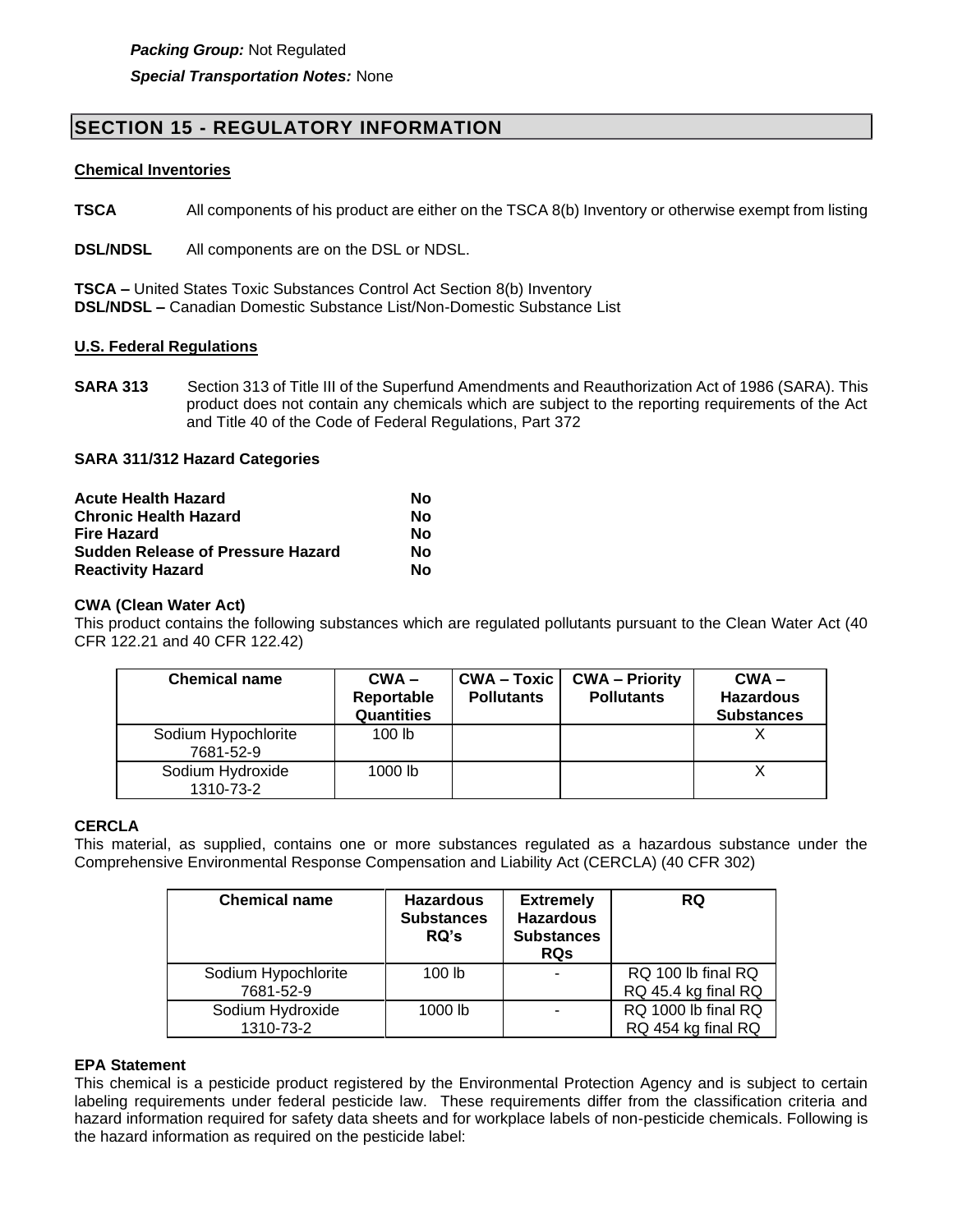# **SECTION 15 - REGULATORY INFORMATION**

#### **Chemical Inventories**

**TSCA** All components of his product are either on the TSCA 8(b) Inventory or otherwise exempt from listing

**DSL/NDSL** All components are on the DSL or NDSL.

**TSCA –** United States Toxic Substances Control Act Section 8(b) Inventory **DSL/NDSL –** Canadian Domestic Substance List/Non-Domestic Substance List

#### **U.S. Federal Regulations**

**SARA 313** Section 313 of Title III of the Superfund Amendments and Reauthorization Act of 1986 (SARA). This product does not contain any chemicals which are subject to the reporting requirements of the Act and Title 40 of the Code of Federal Regulations, Part 372

#### **SARA 311/312 Hazard Categories**

| <b>Acute Health Hazard</b>               | Nο |
|------------------------------------------|----|
| <b>Chronic Health Hazard</b>             | Nο |
| Fire Hazard                              | Nο |
| <b>Sudden Release of Pressure Hazard</b> | Nο |
| <b>Reactivity Hazard</b>                 | Nο |

#### **CWA (Clean Water Act)**

This product contains the following substances which are regulated pollutants pursuant to the Clean Water Act (40 CFR 122.21 and 40 CFR 122.42)

| <b>Chemical name</b>             | $CWA -$<br>Reportable<br><b>Quantities</b> | <b>CWA-Toxic</b><br><b>Pollutants</b> | <b>CWA - Priority</b><br><b>Pollutants</b> | $CWA -$<br><b>Hazardous</b><br><b>Substances</b> |
|----------------------------------|--------------------------------------------|---------------------------------------|--------------------------------------------|--------------------------------------------------|
| Sodium Hypochlorite<br>7681-52-9 | 100 <sub>1b</sub>                          |                                       |                                            |                                                  |
| Sodium Hydroxide<br>1310-73-2    | 1000 $lb$                                  |                                       |                                            |                                                  |

## **CERCLA**

This material, as supplied, contains one or more substances regulated as a hazardous substance under the Comprehensive Environmental Response Compensation and Liability Act (CERCLA) (40 CFR 302)

| <b>Chemical name</b> | <b>Hazardous</b><br><b>Substances</b><br><b>RQ's</b> | <b>Extremely</b><br><b>Hazardous</b><br><b>Substances</b><br><b>RQs</b> | <b>RQ</b>           |
|----------------------|------------------------------------------------------|-------------------------------------------------------------------------|---------------------|
| Sodium Hypochlorite  | 100 <sub>lb</sub>                                    |                                                                         | RQ 100 lb final RQ  |
| 7681-52-9            |                                                      |                                                                         | RQ 45.4 kg final RQ |
| Sodium Hydroxide     | 1000 lb                                              |                                                                         | RQ 1000 lb final RQ |
| 1310-73-2            |                                                      |                                                                         | RQ 454 kg final RQ  |

## **EPA Statement**

This chemical is a pesticide product registered by the Environmental Protection Agency and is subject to certain labeling requirements under federal pesticide law. These requirements differ from the classification criteria and hazard information required for safety data sheets and for workplace labels of non-pesticide chemicals. Following is the hazard information as required on the pesticide label: